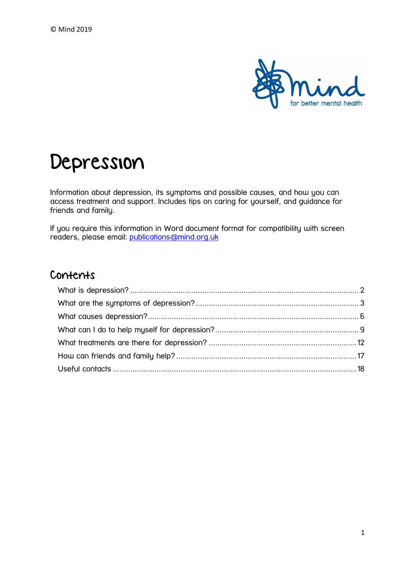

# Depression

Information about depression, its symptoms and possible causes, and how you can access treatment and support. Includes tips on caring for yourself, and guidance for friends and family.

If you require this information in Word document format for compatibility with screen readers, please email: [publications@mind.org.uk](mailto:publications@mind.org.uk)

## Contents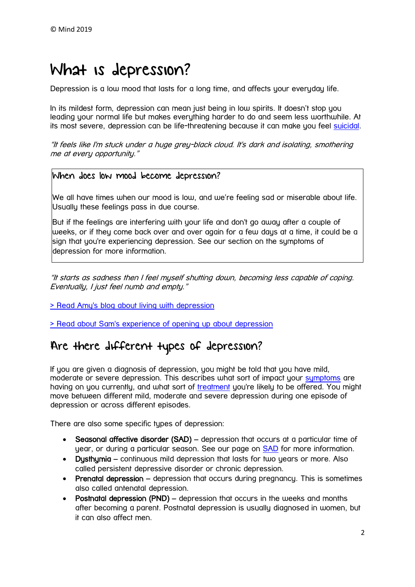# <span id="page-1-0"></span>What is depression?

Depression is a low mood that lasts for a long time, and affects your everyday life.

In its mildest form, depression can mean just being in low spirits. It doesn't stop you leading your normal life but makes everything harder to do and seem less worthwhile. At its most severe, depression can be life-threatening because it can make you feel [suicidal.](https://www.mind.org.uk/information-support/types-of-mental-health-problems/suicidal-feelings/)

"It feels like I'm stuck under a huge grey-black cloud. It's dark and isolating, smothering me at every opportunity."

### When does low mood become depression?

We all have times when our mood is low, and we're feeling sad or miserable about life. Usually these feelings pass in due course.

But if the feelings are interfering with your life and don't go away after a couple of weeks, or if they come back over and over again for a few days at a time, it could be a sign that you're experiencing depression. See our section on the symptoms of depression for more information.

"It starts as sadness then I feel myself shutting down, becoming less capable of coping. Eventually, I just feel numb and empty."

[> Read Amy's blog about living with depression](https://www.mind.org.uk/information-support/your-stories/living-with-depression-my-experience/)

[> Read about Sam's experience of opening up about depression](https://www.mind.org.uk/information-support/your-stories/opening-up-about-depression/)

# Are there different types of depression?

If you are given a diagnosis of depression, you might be told that you have mild, moderate or severe depression. This describes what sort of impact your [symptoms](https://www.mind.org.uk/information-support/types-of-mental-health-problems/depression/symptoms/) are having on you currently, and what sort of [treatment](https://www.mind.org.uk/information-support/types-of-mental-health-problems/depression/treatments/) you're likely to be offered. You might move between different mild, moderate and severe depression during one episode of depression or across different episodes.

There are also some specific tupes of depression:

- Seasonal affective disorder (SAD) depression that occurs at a particular time of year, or during a particular season. See our page on [SAD](https://www.mind.org.uk/information-support/types-of-mental-health-problems/seasonal-affective-disorder/#.Vzso5k32aM8) for more information.
- Dusthumia continuous mild depression that lasts for two years or more. Also called persistent depressive disorder or chronic depression.
- Prenatal depression depression that occurs during pregnancy. This is sometimes also called antenatal depression.
- Postnatal depression (PND) depression that occurs in the weeks and months after becoming a parent. Postnatal depression is usually diagnosed in women, but it can also affect men.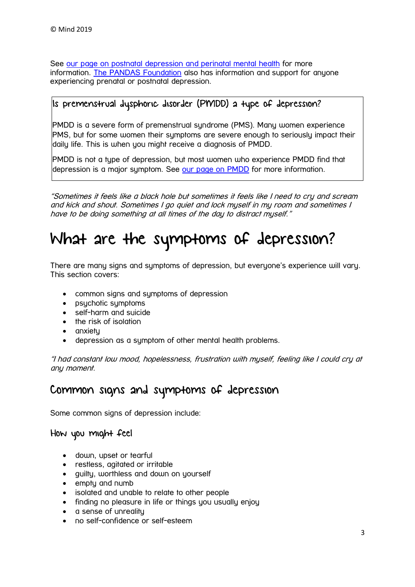See [our page on postnatal depression and perinatal mental health](https://www.mind.org.uk/information-support/types-of-mental-health-problems/postnatal-depression-and-perinatal-mental-health/) for more information. The [PANDAS Foundation](http://www.pandasfoundation.org.uk/) also has information and support for anyone experiencing prenatal or postnatal depression.

### Is premenstrual dysphoric disorder (PMDD) a type of depression?

PMDD is a severe form of premenstrual syndrome (PMS). Many women experience PMS, but for some women their symptoms are severe enough to seriously impact their daily life. This is when you might receive a diagnosis of PMDD.

PMDD is not a type of depression, but most women who experience PMDD find that depression is a major symptom. See [our page on PMDD](https://www.mind.org.uk/information-support/types-of-mental-health-problems/premenstrual-dysphoric-disorder-pmdd/) for more information.

"Sometimes it feels like a black hole but sometimes it feels like I need to cry and scream and kick and shout. Sometimes I go quiet and lock myself in my room and sometimes I have to be doing something at all times of the day to distract myself."

# <span id="page-2-0"></span>What are the symptoms of depression?

There are many signs and symptoms of depression, but everyone's experience will vary. This section covers:

- common signs and symptoms of depression
- psychotic symptoms
- self-harm and suicide
- the risk of isolation
- $\bullet$  anxietu
- depression as a symptom of other mental health problems.

"I had constant low mood, hopelessness, frustration with myself, feeling like I could cry at any moment.

# Common signs and symptoms of depression

Some common signs of depression include:

### How you might feel

- down, upset or tearful
- restless, agitated or irritable
- guilty, worthless and down on yourself
- empty and numb
- isolated and unable to relate to other people
- finding no pleasure in life or things you usually enjoy
- a sense of unreality
- no self-confidence or self-esteem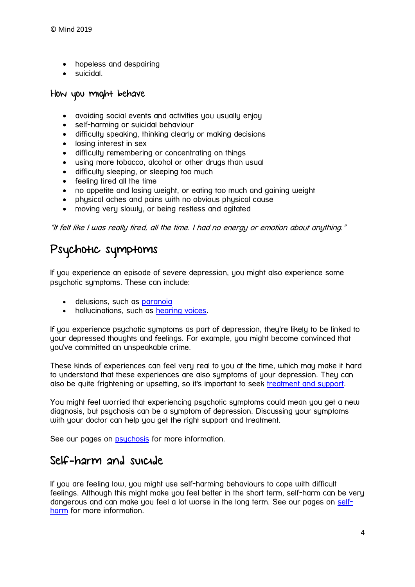- hopeless and despairing
- suicidal.

#### How you might behave

- avoiding social events and activities you usually enjoy
- self-harming or suicidal behaviour
- difficulty speaking, thinking clearly or making decisions
- **•** losing interest in sex
- difficulty remembering or concentrating on things
- using more tobacco, alcohol or other drugs than usual
- **•** difficulty sleeping, or sleeping too much
- feeling tired all the time
- no appetite and losing weight, or eating too much and gaining weight
- physical aches and pains with no obvious physical cause
- moving very slowly, or being restless and agitated

"It felt like I was really tired, all the time. I had no energy or emotion about anything."

## Psychotic symptoms

If you experience an episode of severe depression, you might also experience some psychotic symptoms. These can include:

- delusions, such as [paranoia](https://www.mind.org.uk/information-support/types-of-mental-health-problems/paranoia/)
- hallucinations, such as [hearing voices.](https://www.mind.org.uk/information-support/types-of-mental-health-problems/hearing-voices/)

If you experience psychotic symptoms as part of depression, they're likely to be linked to your depressed thoughts and feelings. For example, you might become convinced that you've committed an unspeakable crime.

These kinds of experiences can feel very real to you at the time, which may make it hard to understand that these experiences are also symptoms of your depression. They can also be quite frightening or upsetting, so it's important to seek [treatment and support.](https://www.mind.org.uk/information-support/types-of-mental-health-problems/depression/treatments/)

You might feel worried that experiencing psychotic symptoms could mean you get a new diagnosis, but psychosis can be a symptom of depression. Discussing your symptoms with your doctor can help you get the right support and treatment.

See our pages on **[psychosis](https://www.mind.org.uk/information-support/types-of-mental-health-problems/psychosis/)** for more information.

## Self-harm and suicide

If you are feeling low, you might use self-harming behaviours to cope with difficult feelings. Although this might make you feel better in the short term, self-harm can be very dangerous and can make you feel a lot worse in the long term. See our pages on [self](https://www.mind.org.uk/information-support/types-of-mental-health-problems/self-harm/)[harm](https://www.mind.org.uk/information-support/types-of-mental-health-problems/self-harm/) for more information.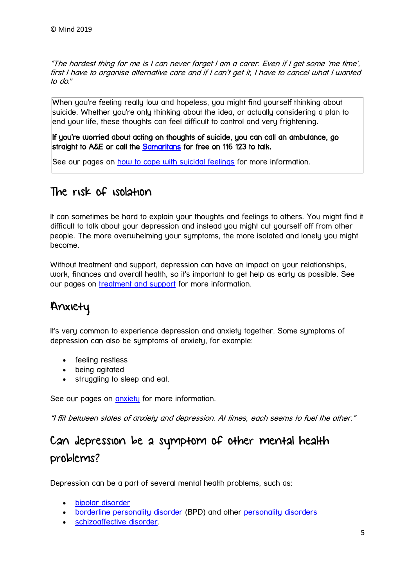"The hardest thing for me is I can never forget I am a carer. Even if I get some 'me time', first I have to organise alternative care and if I can't get it, I have to cancel what I wanted to do."

When you're feeling really low and hopeless, you might find yourself thinking about suicide. Whether you're only thinking about the idea, or actually considering a plan to end your life, these thoughts can feel difficult to control and very frightening.

If you're worried about acting on thoughts of suicide, you can call an ambulance, go straight to A&E or call the [Samaritans](https://www.samaritans.org/how-we-can-help-you/contact-us) for free on 116 123 to talk.

See our pages on [how to cope with suicidal feelings](https://www.mind.org.uk/information-support/types-of-mental-health-problems/suicidal-feelings/helping-yourself-now/) for more information.

# The risk of isolation

It can sometimes be hard to explain your thoughts and feelings to others. You might find it difficult to talk about your depression and instead you might cut yourself off from other people. The more overwhelming your symptoms, the more isolated and lonely you might become.

Without treatment and support, depression can have an impact on your relationships, work, finances and overall health, so it's important to get help as early as possible. See our pages on [treatment and support](https://www.mind.org.uk/information-support/types-of-mental-health-problems/depression/treatments/) for more information.

# Anxiety

It's very common to experience depression and anxiety together. Some symptoms of depression can also be symptoms of anxiety, for example:

- feeling restless
- being agitated
- struggling to sleep and eat.

See our pages on **[anxiety](https://www.mind.org.uk/information-support/types-of-mental-health-problems/anxiety-and-panic-attacks/)** for more information.

"I flit between states of anxiety and depression. At times, each seems to fuel the other."

# Can depression be a symptom of other mental health problems?

Depression can be a part of several mental health problems, such as:

- [bipolar disorder](https://www.mind.org.uk/information-support/types-of-mental-health-problems/bipolar-disorder/)
- [borderline personality disorder](https://www.mind.org.uk/information-support/types-of-mental-health-problems/borderline-personality-disorder-bpd/) (BPD) and other [personality disorders](https://www.mind.org.uk/information-support/types-of-mental-health-problems/personality-disorders/)
- **•** [schizoaffective disorder.](https://www.mind.org.uk/information-support/types-of-mental-health-problems/schizoaffective-disorder/)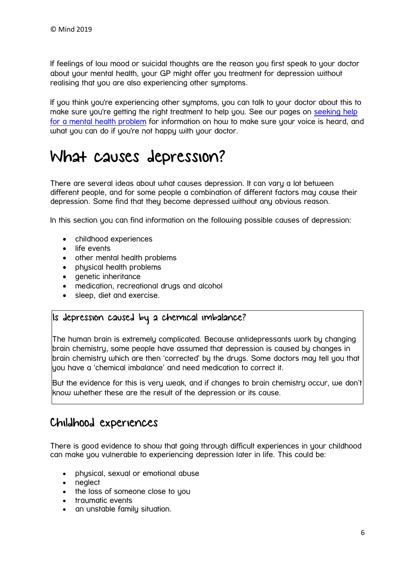If feelings of low mood or suicidal thoughts are the reason you first speak to your doctor about your mental health, your GP might offer you treatment for depression without realising that you are also experiencing other symptoms.

If you think you're experiencing other symptoms, you can talk to your doctor about this to make sure you're getting the right treatment to help you. See our pages on seeking help [for a mental health problem](https://www.mind.org.uk/information-support/guides-to-support-and-services/seeking-help-for-a-mental-health-problem/where-to-start/#.VUnjePDjUW4) for information on how to make sure your voice is heard, and what you can do if you're not happy with your doctor.

# <span id="page-5-0"></span>What causes depression?

There are several ideas about what causes depression. It can vary a lot between different people, and for some people a combination of different factors may cause their depression. Some find that they become depressed without any obvious reason.

In this section you can find information on the following possible causes of depression:

- childhood experiences
- life events
- other mental health problems
- physical health problems
- genetic inheritance
- medication, recreational drugs and alcohol
- sleep, diet and exercise.

### Is depression caused by a chemical imbalance?

The human brain is extremely complicated. Because antidepressants work by changing brain chemistry, some people have assumed that depression is caused by changes in brain chemistry which are then 'corrected' by the drugs. Some doctors may tell you that you have a 'chemical imbalance' and need medication to correct it.

But the evidence for this is very weak, and if changes to brain chemistry occur, we don't know whether these are the result of the depression or its cause.

## Childhood experiences

There is good evidence to show that going through difficult experiences in your childhood can make you vulnerable to experiencing depression later in life. This could be:

- physical, sexual or emotional abuse
- neglect
- the loss of someone close to you
- traumatic events
- an unstable family situation.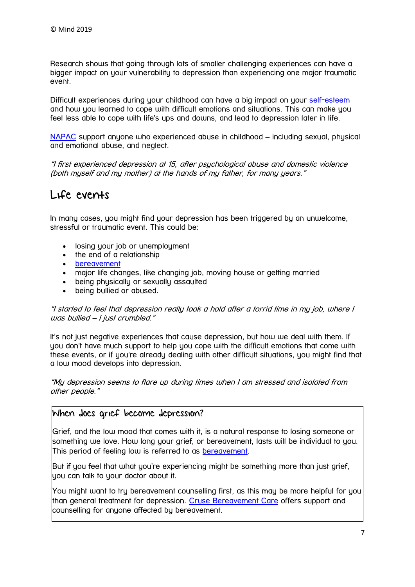Research shows that going through lots of smaller challenging experiences can have a bigger impact on your vulnerability to depression than experiencing one major traumatic event.

Difficult experiences during your childhood can have a big impact on your [self-esteem](https://www.mind.org.uk/information-support/types-of-mental-health-problems/self-esteem/) and how you learned to cope with difficult emotions and situations. This can make you feel less able to cope with life's ups and downs, and lead to depression later in life.

[NAPAC](http://napac.org.uk/) support anyone who experienced abuse in childhood – including sexual, physical and emotional abuse, and neglect.

"I first experienced depression at 15, after psychological abuse and domestic violence (both myself and my mother) at the hands of my father, for many years."

## Life events

In many cases, you might find your depression has been triggered by an unwelcome, stressful or traumatic event. This could be:

- losing your job or unemployment
- the end of a relationship
- [bereavement](https://www.mind.org.uk/information-support/guides-to-support-and-services/bereavement/)
- major life changes, like changing job, moving house or getting married
- being physically or sexually assaulted
- being bullied or abused.

"I started to feel that depression really took a hold after a torrid time in my job, where I was bullied – I just crumbled."

It's not just negative experiences that cause depression, but how we deal with them. If you don't have much support to help you cope with the difficult emotions that come with these events, or if you're already dealing with other difficult situations, you might find that a low mood develops into depression.

"My depression seems to flare up during times when I am stressed and isolated from other people."

## When does grief become depression?

Grief, and the low mood that comes with it, is a natural response to losing someone or something we love. How long your grief, or bereavement, lasts will be individual to you. This period of feeling low is referred to as [bereavement.](https://www.mind.org.uk/information-support/guides-to-support-and-services/bereavement/)

But if you feel that what you're experiencing might be something more than just grief, you can talk to your doctor about it.

You might want to try bereavement counselling first, as this may be more helpful for you than general treatment for depression. [Cruse Bereavement Care](http://www.cruse.org.uk/) offers support and counselling for anyone affected by bereavement.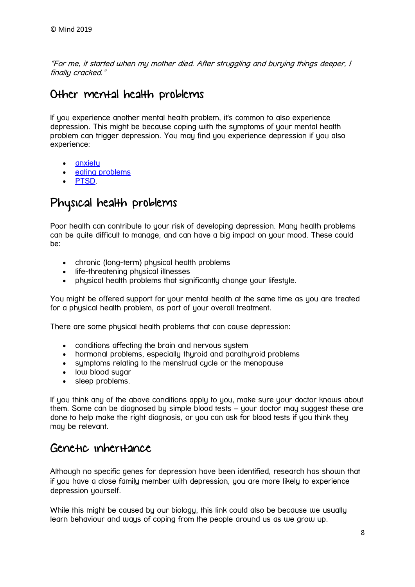"For me, it started when my mother died. After struggling and burying things deeper, I finally cracked."

## Other mental health problems

If you experience another mental health problem, it's common to also experience depression. This might be because coping with the symptoms of your mental health problem can trigger depression. You may find you experience depression if you also experience:

- [anxiety](https://www.mind.org.uk/information-support/types-of-mental-health-problems/anxiety-and-panic-attacks/)
- [eating problems](https://www.mind.org.uk/information-support/types-of-mental-health-problems/eating-problems/)
- [PTSD.](https://www.mind.org.uk/information-support/types-of-mental-health-problems/post-traumatic-stress-disorder-ptsd/)

# Physical health problems

Poor health can contribute to your risk of developing depression. Many health problems can be quite difficult to manage, and can have a big impact on your mood. These could be:

- chronic (long-term) physical health problems
- life-threatening physical illnesses
- physical health problems that significantly change your lifestyle.

You might be offered support for your mental health at the same time as you are treated for a physical health problem, as part of your overall treatment.

There are some physical health problems that can cause depression:

- conditions affecting the brain and nervous system
- hormonal problems, especially thyroid and parathyroid problems
- symptoms relating to the menstrual cycle or the menopause
- low blood sugar
- sleep problems.

If you think any of the above conditions apply to you, make sure your doctor knows about them. Some can be diagnosed by simple blood tests – your doctor may suggest these are done to help make the right diagnosis, or you can ask for blood tests if you think they may be relevant.

## Genetic inheritance

Although no specific genes for depression have been identified, research has shown that if you have a close family member with depression, you are more likely to experience depression yourself.

While this might be caused by our biology, this link could also be because we usually learn behaviour and ways of coping from the people around us as we grow up.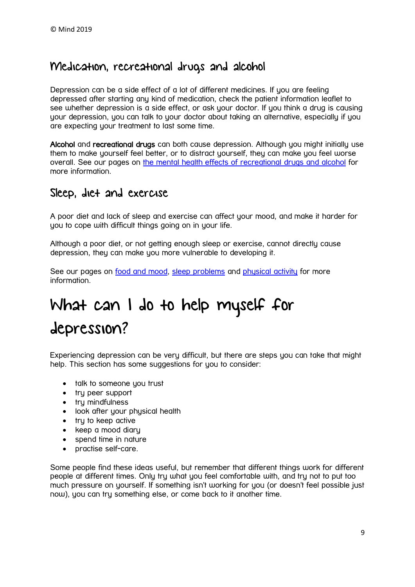## Medication, recreational drugs and alcohol

Depression can be a side effect of a lot of different medicines. If you are feeling depressed after starting any kind of medication, check the patient information leaflet to see whether depression is a side effect, or ask your doctor. If you think a drua is causing your depression, you can talk to your doctor about taking an alternative, especially if you are expecting your treatment to last some time.

Alcohol and recreational drugs can both cause depression. Although you might initially use them to make yourself feel better, or to distract yourself, they can make you feel worse overall. See our pages on the mental health effects of [recreational drugs and alcohol](https://www.mind.org.uk/information-support/types-of-mental-health-problems/drugs-recreational-drugs-alcohol/) for more information.

## Sleep, diet and exercise

A poor diet and lack of sleep and exercise can affect your mood, and make it harder for you to cope with difficult things going on in your life.

Although a poor diet, or not getting enough sleep or exercise, cannot directly cause depression, they can make you more vulnerable to developing it.

See our pages on [food and mood,](https://www.mind.org.uk/information-support/tips-for-everyday-living/food-and-mood/) [sleep problems](https://www.mind.org.uk/information-support/types-of-mental-health-problems/depression/causes/) and [physical activity](https://www.mind.org.uk/information-support/tips-for-everyday-living/physical-activity-and-your-mental-health/) for more information.

# <span id="page-8-0"></span>What can I do to help myself for depression?

Experiencing depression can be very difficult, but there are steps you can take that might help. This section has some suggestions for you to consider:

- talk to someone you trust
- try peer support
- try mindfulness
- look after your physical health
- try to keep active
- keep a mood diary
- spend time in nature
- practise self-care.

Some people find these ideas useful, but remember that different things work for different people at different times. Only try what you feel comfortable with, and try not to put too much pressure on yourself. If something isn't working for you (or doesn't feel possible just now), you can try something else, or come back to it another time.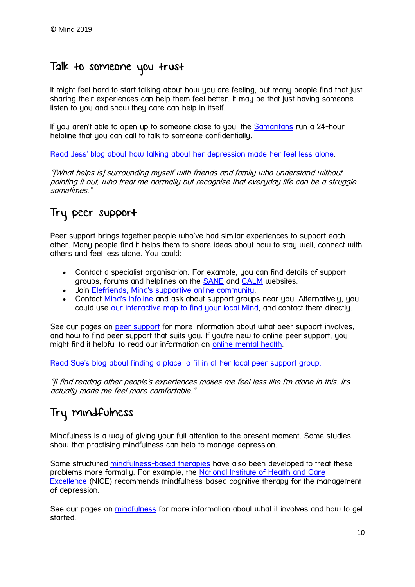## Talk to someone you trust

It might feel hard to start talking about how you are feeling, but many people find that just sharing their experiences can help them feel better. It may be that just having someone listen to you and show they care can help in itself.

If you aren't able to open up to someone close to you, the [Samaritans](https://www.samaritans.org/) run a 24-hour helpline that you can call to talk to someone confidentially.

[Read Jess' blog about how talking about her depression made her feel less alone.](https://www.mind.org.uk/information-support/your-stories/talking-made-me-feel-less-alone/#.W7eAL9dKiUk)

"[What helps is] surrounding myself with friends and family who understand without pointing it out, who treat me normally but recognise that everyday life can be a struggle sometimes."

# Try peer support

Peer support brings together people who've had similar experiences to support each other. Many people find it helps them to share ideas about how to stay well, connect with others and feel less alone. You could:

- Contact a specialist organisation. For example, you can find details of support groups, forums and helplines on the [SANE](http://www.sane.org.uk/what_we_do/support/supportforum) and [CALM](https://www.thecalmzone.net/) websites.
- Join [Elefriends, Mind's supportive online community.](https://www.mind.org.uk/elefriends/)
- Contact [Mind's Infoline](https://www.mind.org.uk/information-support/helplines/) and ask about support groups near you. Alternatively, you could use [our interactive map to find your local Mind,](https://www.mind.org.uk/information-support/local-minds/) and contact them directly.

See our pages on [peer support](https://www.mind.org.uk/information-support/drugs-and-treatments/peer-support/) for more information about what peer support involves, and how to find peer support that suits you. If you're new to online peer support, you might find it helpful to read our information on [online mental health.](https://www.mind.org.uk/information-support/tips-for-everyday-living/online-mental-health/)

[Read Sue's blog about finding a place to fit in at her local peer support group](https://www.mind.org.uk/information-support/your-stories/finding-a-place-to-fit-in/#.W7eWUddKiUl)[.](https://www.mind.org.uk/information-support/your-stories/finding-a-place-to-fit-in/#.W7eQyddKiUk)

"[I find reading other people's experiences makes me feel less like I'm alone in this. It's actually made me feel more comfortable."

# Try mindfulness

Mindfulness is a way of giving your full attention to the present moment. Some studies show that practising mindfulness can help to manage depression.

Some structured [mindfulness-based therapies](https://www.mind.org.uk/information-support/drugs-and-treatments/mindfulness/how-to-learn-mindfulness/) have also been developed to treat these problems more formally. For example, the [National Institute of Health and Care](https://www.nice.org.uk/)  [Excellence](https://www.nice.org.uk/) (NICE) recommends mindfulness-based cognitive therapy for the management of depression.

See our pages on [mindfulness](https://www.mind.org.uk/information-support/drugs-and-treatments/mindfulness/#.XBokl9L7SUk) for more information about what it involves and how to get started.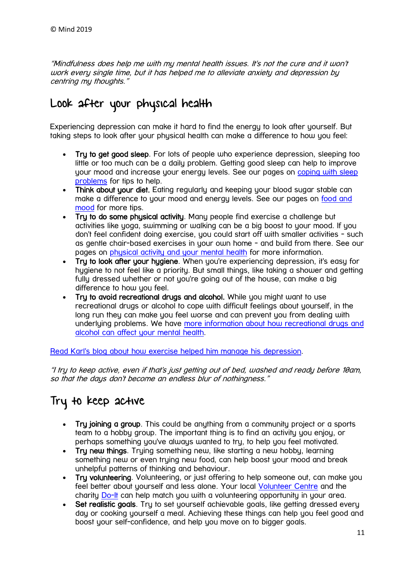"Mindfulness does help me with my mental health issues. It's not the cure and it won't work every single time, but it has helped me to alleviate anxiety and depression by centring my thoughts."

# Look after your physical health

Experiencing depression can make it hard to find the energy to look after yourself. But taking steps to look after your physical health can make a difference to how you feel:

- Try to get good sleep. For lots of people who experience depression, sleeping too little or too much can be a daily problem. Getting good sleep can help to improve your mood and increase your energy levels. See our pages on [coping with sleep](https://www.mind.org.uk/information-support/types-of-mental-health-problems/sleep-problems/)  [problems](https://www.mind.org.uk/information-support/types-of-mental-health-problems/sleep-problems/) for tips to help.
- Think about your diet. Eating regularly and keeping your blood sugar stable can make a difference to your mood and energy levels. See our pages on [food and](https://www.mind.org.uk/information-support/tips-for-everyday-living/food-and-mood/)  [mood](https://www.mind.org.uk/information-support/tips-for-everyday-living/food-and-mood/) for more tips.
- Try to do some physical activity. Many people find exercise a challenge but activities like yoga, swimming or walking can be a big boost to your mood. If you don't feel confident doing exercise, you could start off with smaller activities - such as gentle chair-based exercises in your own home - and build from there. See our pages on [physical activity and your mental health](https://www.mind.org.uk/information-support/tips-for-everyday-living/physical-activity-and-your-mental-health/) for more information.
- Try to look after your hygiene. When you're experiencing depression, it's easy for hygiene to not feel like a priority. But small things, like taking a shower and getting fully dressed whether or not you're going out of the house, can make a big difference to how you feel.
- Try to avoid recreational drugs and alcohol. While you might want to use recreational drugs or alcohol to cope with difficult feelings about yourself, in the long run they can make you feel worse and can prevent you from dealing with underlying problems. We have more information about how recreational drugs and [alcohol can affect your mental health.](https://www.mind.org.uk/information-support/types-of-mental-health-problems/drugs-recreational-drugs-alcohol/)

[Read Karl's blog about how exercise helped him manage his depression.](https://www.mind.org.uk/information-support/your-stories/red-january-transformed-the-way-i-manage-my-depression/#.W7eLs9dKiUk)

"I try to keep active, even if that's just getting out of bed, washed and ready before 10am, so that the days don't become an endless blur of nothingness."

# Try to keep active

- Tru joining a group. This could be anuthing from a community project or a sports team to a hobby group. The important thing is to find an activity you enjoy, or perhaps something you've always wanted to try, to help you feel motivated.
- Try new things. Trying something new, like starting a new hobby, learning something new or even truing new food, can help boost your mood and break unhelpful patterns of thinking and behaviour.
- Try volunteering. Volunteering, or just offering to help someone out, can make you feel better about yourself and less alone. Your local [Volunteer Centre](https://www.ncvo.org.uk/ncvo-volunteering/find-a-volunteer-centre) and the charity [Do-It](https://do-it.org/) can help match you with a volunteering opportunity in your area.
- Set realistic goals. Try to set yourself achievable goals, like getting dressed every day or cooking yourself a meal. Achieving these things can help you feel good and boost your self-confidence, and help you move on to bigger goals.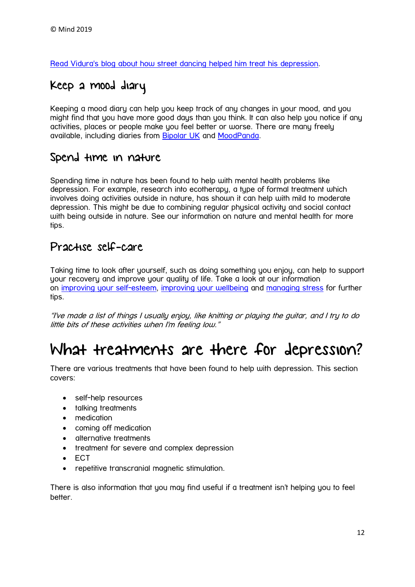[Read Vidura's blog about how street dancing helped him treat his depression.](https://www.mind.org.uk/information-support/your-stories/street-dancing-depression-and-me/#.W7xyt9dKiUk)

# Keep a mood diary

Keeping a mood diary can help you keep track of any changes in your mood, and you might find that you have more good days than you think. It can also help you notice if any activities, places or people make you feel better or worse. There are many freely available, including diaries from [Bipolar UK](https://www.bipolaruk.org/FAQs/mood-diary) and [MoodPanda.](http://moodpanda.com/FreeMoodDiary.aspx)

## Spend time in nature

Spending time in nature has been found to help with mental health problems like depression. For example, research into ecotherapy, a type of formal treatment which involves doing activities outside in nature, has shown it can help with mild to moderate depression. This might be due to combining regular physical activity and social contact with being outside in nature. See our information on nature and mental health for more tips.

## Practise self-care

Taking time to look after yourself, such as doing something you enjoy, can help to support your recovery and improve your quality of life. Take a look at our information on [improving your self-esteem,](https://www.mind.org.uk/information-support/types-of-mental-health-problems/self-esteem/tips-to-improve-your-self-esteem/) [improving your wellbeing](https://www.mind.org.uk/information-support/tips-for-everyday-living/wellbeing/) and [managing stress](https://www.mind.org.uk/information-support/types-of-mental-health-problems/stress/) for further tips.

"I've made a list of things I usually enjoy, like knitting or playing the guitar, and I try to do little bits of these activities when I'm feeling low."

# <span id="page-11-0"></span>What treatments are there for depression?

There are various treatments that have been found to help with depression. This section covers:

- self-help resources
- talking treatments
- medication
- coming off medication
- alternative treatments
- treatment for severe and complex depression
- ECT
- repetitive transcranial magnetic stimulation.

There is also information that you may find useful if a treatment isn't helping you to feel better.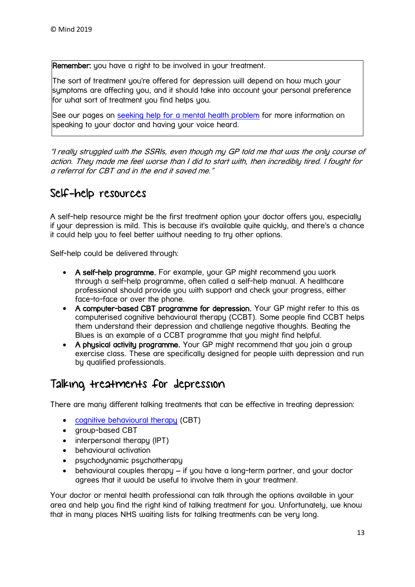**Remember:** you have a right to be involved in your treatment.

The sort of treatment you're offered for depression will depend on how much your symptoms are affecting you, and it should take into account your personal preference for what sort of treatment you find helps you.

See our pages on [seeking help for a mental health problem](https://www.mind.org.uk/information-support/guides-to-support-and-services/seeking-help-for-a-mental-health-problem/) for more information on speaking to your doctor and having your voice heard.

"I really struggled with the SSRIs, even though my GP told me that was the only course of action. They made me feel worse than I did to start with, then incredibly tired. I fought for a referral for CBT and in the end it saved me."

## Self-help resources

A self-help resource might be the first treatment option your doctor offers you, especially if your depression is mild. This is because it's available quite quickly, and there's a chance it could help you to feel better without needing to try other options.

Self-help could be delivered through:

- A self-help programme. For example, your GP might recommend you work through a self-help programme, often called a self-help manual. A healthcare professional should provide you with support and check your progress, either face-to-face or over the phone.
- A computer-based CBT programme for depression. Your GP might refer to this as computerised cognitive behavioural therapy (CCBT). Some people find CCBT helps them understand their depression and challenge negative thoughts. Beating the Blues is an example of a CCBT programme that you might find helpful.
- A physical activity programme. Your GP might recommend that you join a group exercise class. These are specifically designed for people with depression and run by qualified professionals.

## Talking treatments for depression

There are many different talking treatments that can be effective in treating depression:

- [cognitive behavioural therapy](https://www.mind.org.uk/information-support/drugs-and-treatments/cognitive-behavioural-therapy-cbt/) (CBT)
- aroup-based CBT
- interpersonal therapy (IPT)
- behavioural activation
- psychodynamic psychotherapy
- $\bullet$  behavioural couples therapy  $-$  if you have a long-term partner, and your doctor agrees that it would be useful to involve them in your treatment.

Your doctor or mental health professional can talk through the options available in your area and help you find the right kind of talking treatment for you. Unfortunately, we know that in many places NHS waiting lists for talking treatments can be very long.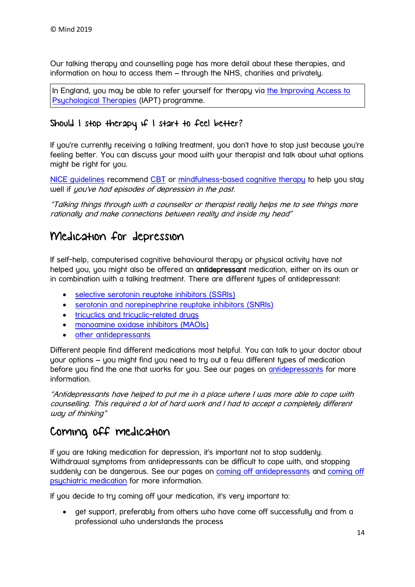Our talking therapy and counselling page has more detail about these therapies, and information on how to access them – through the NHS, charities and privately.

In England, you may be able to refer yourself for therapy via the Improving Access to [Psychological Therapies](https://beta.nhs.uk/find-a-psychological-therapies-service/) (IAPT) programme.

## Should I stop therapy if I start to feel better?

If you're currently receiving a talking treatment, you don't have to stop just because you're feeling better. You can discuss your mood with your therapist and talk about what options might be right for you.

[NICE guidelines](https://www.nice.org.uk/guidance/cg90/chapter/1-Guidance) recommend [CBT](https://www.mind.org.uk/information-support/drugs-and-treatments/cognitive-behavioural-therapy-cbt/) or [mindfulness-based cognitive therapy](https://www.mind.org.uk/information-support/drugs-and-treatments/mindfulness/how-to-learn-mindfulness/) to help you stay well if you've had episodes of depression in the past.

"Talking things through with a counsellor or therapist really helps me to see things more rationally and make connections between reality and inside my head"

## Medication for depression

If self-help, computerised cognitive behavioural therapy or physical activity have not helped you, you might also be offered an antidepressant medication, either on its own or in combination with a talking treatment. There are different types of antidepressant:

- [selective serotonin reuptake inhibitors \(SSRIs\)](https://www.mind.org.uk/information-support/drugs-and-treatments/antidepressants/#ssri)
- [serotonin and norepinephrine reuptake inhibitors \(SNRIs\)](https://www.mind.org.uk/information-support/drugs-and-treatments/antidepressants/#snri)
- tricuclics and tricuclic-related druas
- [monoamine oxidase inhibitors \(MAOIs\)](https://www.mind.org.uk/information-support/drugs-and-treatments/antidepressants/#maoi)
- [other antidepressants](https://www.mind.org.uk/information-support/drugs-and-treatments/antidepressants/#other)

Different people find different medications most helpful. You can talk to your doctor about your options – you might find you need to try out a few different types of medication before you find the one that works for you. See our pages on **[antidepressants](https://www.mind.org.uk/information-support/drugs-and-treatments/antidepressants/)** for more information.

"Antidepressants have helped to put me in a place where I was more able to cope with counselling. This required a lot of hard work and I had to accept a completely different way of thinking"

## Coming off medication

If you are taking medication for depression, it's important not to stop suddenly. Withdrawal symptoms from antidepressants can be difficult to cope with, and stopping suddenly can be dangerous. See our pages on [coming off antidepressants](https://www.mind.org.uk/information-support/drugs-and-treatments/antidepressants/withdrawal-effects-of-antidepressants/#.W7ym69dKiUk) and [coming off](https://www.mind.org.uk/information-support/drugs-and-treatments/medication-stopping-or-coming-off/)  [psychiatric medication](https://www.mind.org.uk/information-support/drugs-and-treatments/medication-stopping-or-coming-off/) for more information.

If you decide to try coming off your medication, it's very important to:

 get support, preferably from others who have come off successfully and from a professional who understands the process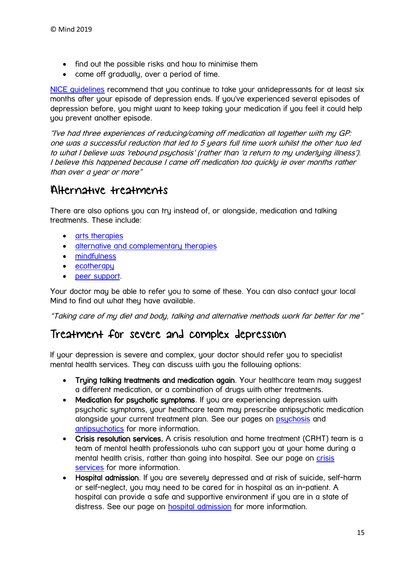- find out the possible risks and how to minimise them
- come off gradually, over a period of time.

[NICE guidelines](https://www.nice.org.uk/guidance/cg90/chapter/1-Guidance#continuation-and-relapse-prevention) recommend that you continue to take your antidepressants for at least six months after your episode of depression ends. If you've experienced several episodes of depression before, you might want to keep taking your medication if you feel it could help you prevent another episode.

"I've had three experiences of reducing/coming off medication all together with my GP: one was a successful reduction that led to 5 years full time work whilst the other two led to what I believe was 'rebound psychosis' (rather than 'a return to my underlying illness'). I believe this happened because I came off medication too quickly ie over months rather than over a year or more"

## Alternative treatments

There are also options you can try instead of, or alongside, medication and talking treatments. These include:

- [arts therapies](https://www.mind.org.uk/information-support/drugs-and-treatments/arts-and-creative-therapies/)
- **•** [alternative and complementary therapies](https://www.mind.org.uk/information-support/drugs-and-treatments/complementary-and-alternative-therapies/)
- [mindfulness](https://www.mind.org.uk/information-support/drugs-and-treatments/mindfulness/)
- [ecotherapy](https://www.mind.org.uk/information-support/tips-for-everyday-living/nature-and-mental-health/)
- [peer support.](https://www.mind.org.uk/information-support/guides-to-support-and-services/peer-support-directory/)

Your doctor may be able to refer you to some of these. You can also contact your local Mind to find out what they have available.

"Taking care of my diet and body, talking and alternative methods work far better for me"

## Treatment for severe and complex depression

If your depression is severe and complex, your doctor should refer you to specialist mental health services. They can discuss with you the following options:

- Trying talking treatments and medication again. Your healthcare team may suggest a different medication, or a combination of drugs with other treatments.
- Medication for psychotic symptoms. If you are experiencing depression with psychotic symptoms, your healthcare team may prescribe antipsychotic medication alongside your current treatment plan. See our pages on **[psychosis](https://www.mind.org.uk/information-support/types-of-mental-health-problems/psychosis/)** and [antipsychotics](https://www.mind.org.uk/information-support/drugs-and-treatments/antipsychotics/) for more information.
- Crisis resolution services. A crisis resolution and home treatment (CRHT) team is a team of mental health professionals who can support you at your home during a mental health crisis, rather than going into hospital. See our page on crisis [services](https://www.mind.org.uk/information-support/guides-to-support-and-services/crisis-services/) for more information.
- Hospital admission. If you are severely depressed and at risk of suicide, self-harm or self-neglect, you may need to be cared for in hospital as an in-patient. A hospital can provide a safe and supportive environment if you are in a state of distress. See our page on **[hospital admission](https://www.mind.org.uk/information-support/guides-to-support-and-services/crisis-services/hospital-admission/)** for more information.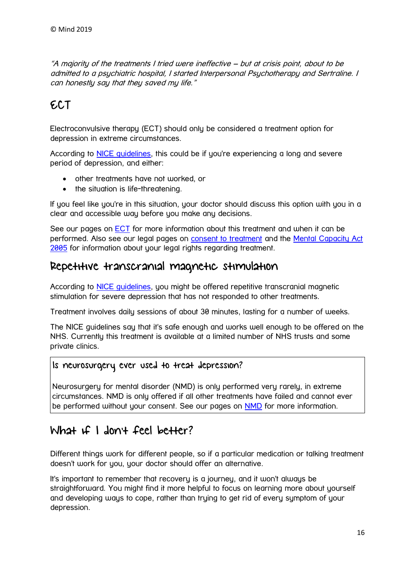"A majority of the treatments I tried were ineffective – but at crisis point, about to be admitted to a psychiatric hospital, I started Interpersonal Psychotherapy and Sertraline. I can honestly say that they saved my life."

# ECT

Electroconvulsive therapy (ECT) should only be considered a treatment option for depression in extreme circumstances.

According to [NICE guidelines,](https://www.nice.org.uk/guidance/ta59/chapter/1-guidance) this could be if you're experiencing a long and severe period of depression, and either:

- other treatments have not worked, or
- the situation is life-threatening.

If you feel like you're in this situation, your doctor should discuss this option with you in a clear and accessible way before you make any decisions.

See our pages on [ECT](https://www.mind.org.uk/information-support/drugs-and-treatments/electroconvulsive-therapy-ect/) for more information about this treatment and when it can be performed. Also see our legal pages on [consent to treatment](https://www.mind.org.uk/information-support/legal-rights/consent-to-treatment/) and the [Mental Capacity Act](https://www.mind.org.uk/information-support/legal-rights/mental-capacity-act-2005/)  [2005](https://www.mind.org.uk/information-support/legal-rights/mental-capacity-act-2005/) for information about your legal rights regarding treatment.

## Repetitive transcranial magnetic stimulation

According to [NICE guidelines,](https://www.nice.org.uk/guidance/ipg542/chapter/3-The-procedure) you might be offered repetitive transcranial magnetic stimulation for severe depression that has not responded to other treatments.

Treatment involves daily sessions of about 30 minutes, lasting for a number of weeks.

The NICE guidelines say that it's safe enough and works well enough to be offered on the NHS. Currently this treatment is available at a limited number of NHS trusts and some private clinics.

### Is neurosurgery ever used to treat depression?

Neurosurgery for mental disorder (NMD) is only performed very rarely, in extreme circumstances. NMD is only offered if all other treatments have failed and cannot ever be performed without your consent. See our pages on **[NMD](https://www.mind.org.uk/information-support/drugs-and-treatments/neurosurgery-for-mental-disorder-nmd/)** for more information.

## What if I don't feel better?

Different things work for different people, so if a particular medication or talking treatment doesn't work for you, your doctor should offer an alternative.

It's important to remember that recovery is a journey, and it won't always be straightforward. You might find it more helpful to focus on learning more about yourself and developing ways to cope, rather than trying to get rid of every symptom of your depression.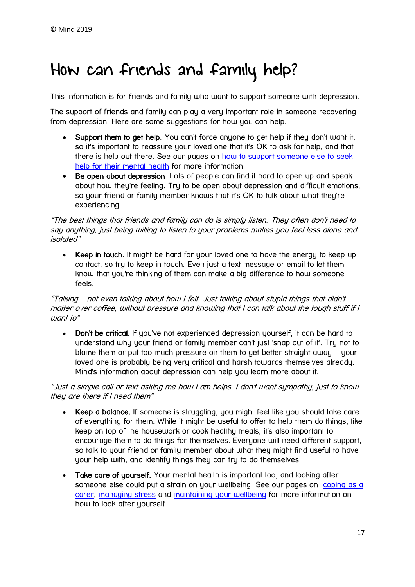# <span id="page-16-0"></span>How can friends and family help?

This information is for friends and family who want to support someone with depression.

The support of friends and family can play a very important role in someone recovering from depression. Here are some suggestions for how you can help.

- Support them to get help. You can't force anyone to get help if they don't want it, so it's important to reassure your loved one that it's OK to ask for help, and that there is help out there. See our pages on [how to support someone else to seek](https://www.mind.org.uk/information-support/guides-to-support-and-services/seeking-help-for-a-mental-health-problem/helping-someone-else-seek-help/)  [help for their mental health](https://www.mind.org.uk/information-support/guides-to-support-and-services/seeking-help-for-a-mental-health-problem/helping-someone-else-seek-help/) for more information.
- Be open about depression. Lots of people can find it hard to open up and speak about how they're feeling. Try to be open about depression and difficult emotions, so your friend or family member knows that it's OK to talk about what they're experiencing.

"The best things that friends and family can do is simply listen. They often don't need to say anything, just being willing to listen to your problems makes you feel less alone and isolated"

• Keep in touch. It might be hard for your loved one to have the energy to keep up contact, so try to keep in touch. Even just a text message or email to let them know that you're thinking of them can make a big difference to how someone feels.

"Talking... not even talking about how I felt. Just talking about stupid things that didn't matter over coffee, without pressure and knowing that I can talk about the tough stuff if I  $\mu$ ant to"

• Don't be critical. If you've not experienced depression yourself, it can be hard to understand why your friend or family member can't just 'snap out of it'. Try not to blame them or put too much pressure on them to get better straight away – your loved one is probably being very critical and harsh towards themselves already. Mind's information about depression can help you learn more about it.

"Just a simple call or text asking me how I am helps. I don't want sympathy, just to know they are there if I need them"

- Keep a balance. If someone is struggling, you might feel like you should take care of everything for them. While it might be useful to offer to help them do things, like keep on top of the housework or cook healthy meals, it's also important to encourage them to do things for themselves. Everyone will need different support, so talk to your friend or family member about what they might find useful to have your help with, and identify things they can try to do themselves.
- Take care of yourself. Your mental health is important too, and looking after someone else could put a strain on your wellbeing. See our pages on coping as a [carer,](https://www.mind.org.uk/information-support/helping-someone-else/carers-friends-and-family-a-guide-to-coping/) [managing stress](https://www.mind.org.uk/information-support/tips-for-everyday-living/stress/) and [maintaining your wellbeing](https://www.mind.org.uk/information-support/tips-for-everyday-living/wellbeing/) for more information on how to look after yourself.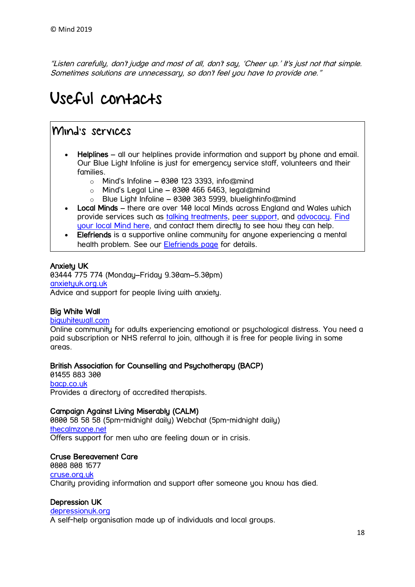"Listen carefully, don't judge and most of all, don't say, 'Cheer up.' It's just not that simple. Sometimes solutions are unnecessary, so don't feel you have to provide one."

# <span id="page-17-0"></span>Useful contacts

## Mind's services

- Helplines all our helplines provide information and support bu phone and email. Our Blue Light Infoline is just for emergency service staff, volunteers and their families.
	- $\circ$  Mind's Infoline 0300 123 3393, info@mind
	- $\circ$  Mind's Legal Line 0300 466 6463, legal@mind
	- $\circ$  Blue Light Infoline 0300 303 5999, bluelightinfo@mind
- Local Minds there are over 140 local Minds across Enaland and Wales which provide services such as [talking treatments,](https://www.mind.org.uk/information-support/drugs-and-treatments/talking-treatments/) [peer support,](https://www.mind.org.uk/information-support/drugs-and-treatments/peer-support/) and [advocacy.](https://www.mind.org.uk/information-support/guides-to-support-and-services/advocacy/) Find [your local Mind here,](https://www.mind.org.uk/information-support/local-minds/) and contact them directly to see how they can help.
- Elefriends is a supportive online community for anyone experiencing a mental health problem. See our [Elefriends page](https://www.mind.org.uk/elefriends/) for details.

### Anxiety UK

03444 775 774 (Monday–Friday 9.30am–5.30pm) [anxietyuk.org.uk](http://www.anxietyuk.org.uk/) Advice and support for people living with anxiety.

### Big White Wall

#### [bigwhitewall.com](http://www.bigwhitewall.com/)

Online community for adults experiencing emotional or psychological distress. You need a paid subscription or NHS referral to join, although it is free for people living in some areas.

#### British Association for Counselling and Psychotherapy (BACP)

01455 883 300 [bacp.co.uk](https://www.bacp.co.uk/) Provides a directory of accredited therapists.

#### Campaign Against Living Miserably (CALM)

0800 58 58 58 (5pm-midnight daily) Webchat (5pm-midnight daily) [thecalmzone.net](https://thecalmzone.net/) Offers support for men who are feeling down or in crisis.

#### Cruse Bereavement Care

0808 808 1677 [cruse.org.uk](http://www.cruse.org.uk/) Charity providing information and support after someone you know has died.

#### Depression UK

#### [depressionuk.org](http://www.depressionuk.org/)

A self-help organisation made up of individuals and local groups.